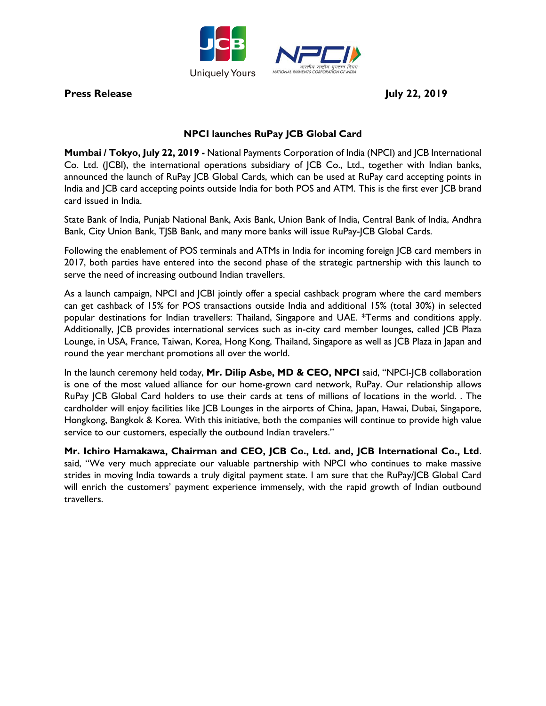

**Press Release** July 22, 2019

# **NPCI launches RuPay JCB Global Card**

**Mumbai / Tokyo, July 22, 2019 -** National Payments Corporation of India (NPCI) and JCB International Co. Ltd. (JCBI), the international operations subsidiary of JCB Co., Ltd., together with Indian banks, announced the launch of RuPay JCB Global Cards, which can be used at RuPay card accepting points in India and JCB card accepting points outside India for both POS and ATM. This is the first ever JCB brand card issued in India.

State Bank of India, Punjab National Bank, Axis Bank, Union Bank of India, Central Bank of India, Andhra Bank, City Union Bank, TJSB Bank, and many more banks will issue RuPay-JCB Global Cards.

Following the enablement of POS terminals and ATMs in India for incoming foreign JCB card members in 2017, both parties have entered into the second phase of the strategic partnership with this launch to serve the need of increasing outbound Indian travellers.

As a launch campaign, NPCI and JCBI jointly offer a special cashback program where the card members can get cashback of 15% for POS transactions outside India and additional 15% (total 30%) in selected popular destinations for Indian travellers: Thailand, Singapore and UAE. \*Terms and conditions apply. Additionally, JCB provides international services such as in-city card member lounges, called JCB Plaza Lounge, in USA, France, Taiwan, Korea, Hong Kong, Thailand, Singapore as well as JCB Plaza in Japan and round the year merchant promotions all over the world.

In the launch ceremony held today, **Mr. Dilip Asbe, MD & CEO, NPCI** said, "NPCI-JCB collaboration is one of the most valued alliance for our home-grown card network, RuPay. Our relationship allows RuPay JCB Global Card holders to use their cards at tens of millions of locations in the world. . The cardholder will enjoy facilities like JCB Lounges in the airports of China, Japan, Hawai, Dubai, Singapore, Hongkong, Bangkok & Korea. With this initiative, both the companies will continue to provide high value service to our customers, especially the outbound Indian travelers."

**Mr. Ichiro Hamakawa, Chairman and CEO, JCB Co., Ltd. and, JCB International Co., Ltd**. said, "We very much appreciate our valuable partnership with NPCI who continues to make massive strides in moving India towards a truly digital payment state. I am sure that the RuPay/JCB Global Card will enrich the customers' payment experience immensely, with the rapid growth of Indian outbound travellers.